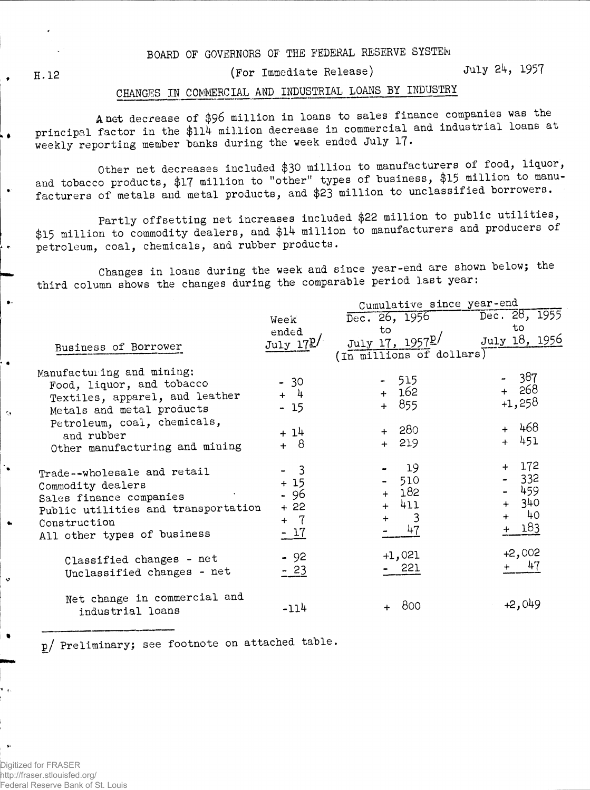BOARD OF GOVERNORS OF THE FEDERAL RESERVE SYSTEM

H. 12

Ō.

 $\bullet$ 

 $\bullet$ 

 $\bullet$ 

 $\bullet$ 

 $\mathbf{C}$ 

۰.

 $\ddot{\mathbf{c}}$ 

(For Immediate Release)

July 24, 1957

## CHANGES IN COMMERCIAL AND INDUSTRIAL LOANS BY INDUSTRY

**A net** decrease of \$96 million in loans to sales finance companies was the principal factor in the \$114 million decrease in commercial and industrial loans at weekly reporting member banks during the week ended July 17.

Other net decreases included \$30 million to manufacturers of food, liquor, and tobacco products, \$17 million to "other" types of business, \$15 million to manufacturers of metals and metal products, and \$23 million to unclassified borrowers.

Partly offsetting net increases included \$22 million to public utilities, \$15 million to commodity dealers, and \$14 million to manufacturers and producers of petroleum, coal, chemicals, and rubber products.

Changes in loans during the week and since year-end are shown below; the third column shows the changes during the comparable period last year:

|                                                                                                                                                                   |                                                                     | Cumulative since year-end                               |                                                  |  |  |  |  |  |
|-------------------------------------------------------------------------------------------------------------------------------------------------------------------|---------------------------------------------------------------------|---------------------------------------------------------|--------------------------------------------------|--|--|--|--|--|
|                                                                                                                                                                   | Week                                                                | Dec. 26, 1956                                           | Dec. 28, 1955                                    |  |  |  |  |  |
|                                                                                                                                                                   | ended                                                               | to                                                      | to                                               |  |  |  |  |  |
| Business of Borrower                                                                                                                                              | July 172/                                                           | July 17, 1957 <sup>p/</sup><br>(In millions of dollars) | July 18, 1956                                    |  |  |  |  |  |
| Manufacturing and mining:<br>Food, liquor, and tobacco<br>Textiles, apparel, and leather<br>Metals and metal products<br>Petroleum, coal, chemicals,              | - 30<br>$+$ 4<br>$-15$                                              | 515<br>162<br>$+$<br>855<br>$+$                         | -387<br>$+ 268$<br>$+1,258$<br>$+ 468$           |  |  |  |  |  |
| and rubber<br>Other manufacturing and mining                                                                                                                      | $+14$<br>$+ 8$                                                      | $+ 280$<br>$+ 219$                                      | $+ 451$                                          |  |  |  |  |  |
| Trade--wholesale and retail<br>Commodity dealers<br>Sales finance companies<br>Public utilities and transportation<br>Construction<br>All other types of business | $\overline{\phantom{a}}$<br>$+15$<br>- 96<br>$+22$<br>$+ 7$<br>- 17 | 19<br>510<br>182<br>411<br>3<br>$+$<br>47               | $+ 172$<br>332<br>459<br>340<br>40<br>$+$<br>183 |  |  |  |  |  |
| Classified changes - net<br>Unclassified changes - net                                                                                                            | $-92$<br>$-23$                                                      | $+1,021$<br>- 221                                       | $+2,002$<br>47                                   |  |  |  |  |  |
| Net change in commercial and<br>industrial loans                                                                                                                  | $-114$                                                              | 800                                                     | $+2,049$                                         |  |  |  |  |  |

p/ Preliminary; see footnote on attached table .

Digitized for FRASER http://fraser.stlouisfed.org/ Federal Reserve Bank of St. Louis